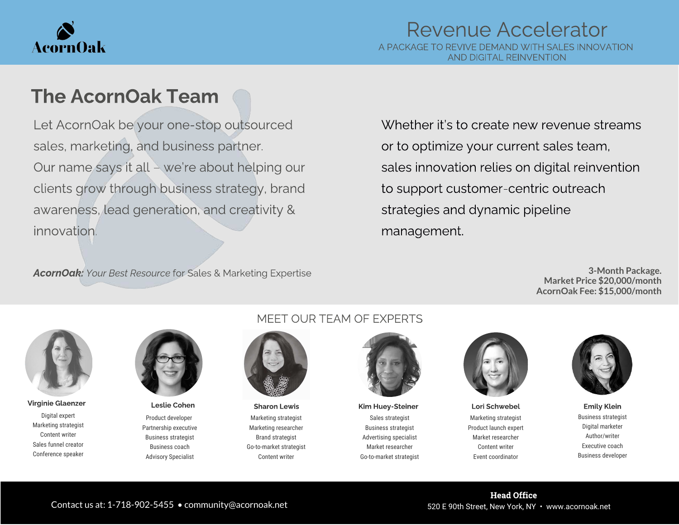

## The AcornOak Team

Let AcornOak be your one-stop outsourced sales, marketing, and business partner. Our name says it all – we're about helping our clients grow through business strategy, brand awareness, lead generation, and creativity & innovation.

Whether it's to create new revenue streams or to optimize your current sales team, sales innovation relies on digital reinvention to support customer-centric outreach strategies and dynamic pipeline management.

AcornOak: Your Best Resource for Sales & Marketing Expertise

**3-Month Package. Market Price \$20,000/month AcornOak Fee: \$15,000/month**



Digital expert Marketing strategist Content writer Sales funnel creator Conference speaker Virginie Glaenzer Name Heslie Cohen Manne (Sharon Lewis Kim Huey-Steiner Name Lori Schwebel Emily Klein Emily



Product developer Partnership executive Business strategist Business coach Advisory Specialist

### MEET OUR TEAM OF EXPERTS



Marketing strategist Marketing researcher Brand strategist Go-to-market strategist Content writer

Sales strategist Business strategist Advertising specialist Market researcher Go-to-market strategist



Marketing strategist Product launch expert Market researcher Content writer Event coordinator



Business strategist Digital marketer Author/writer Executive coach Business developer